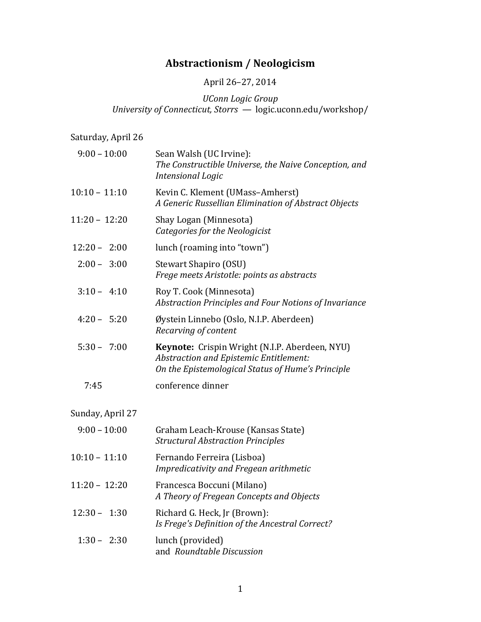# **Abstractionism / Neologicism**

# April 26-27, 2014

*UConn Logic Group University of Connecticut, Storrs* — logic.uconn.edu/workshop/

Saturday, April 26

| $9:00 - 10:00$  | Sean Walsh (UC Irvine):<br>The Constructible Universe, the Naive Conception, and<br>Intensional Logic                                         |
|-----------------|-----------------------------------------------------------------------------------------------------------------------------------------------|
| $10:10 - 11:10$ | Kevin C. Klement (UMass-Amherst)<br>A Generic Russellian Elimination of Abstract Objects                                                      |
| $11:20 - 12:20$ | Shay Logan (Minnesota)<br>Categories for the Neologicist                                                                                      |
| $12:20 - 2:00$  | lunch (roaming into "town")                                                                                                                   |
| $2:00 - 3:00$   | Stewart Shapiro (OSU)<br>Frege meets Aristotle: points as abstracts                                                                           |
| $3:10 - 4:10$   | Roy T. Cook (Minnesota)<br>Abstraction Principles and Four Notions of Invariance                                                              |
| $4:20 - 5:20$   | Øystein Linnebo (Oslo, N.I.P. Aberdeen)<br>Recarving of content                                                                               |
| $5:30 - 7:00$   | Keynote: Crispin Wright (N.I.P. Aberdeen, NYU)<br>Abstraction and Epistemic Entitlement:<br>On the Epistemological Status of Hume's Principle |
| 7:45            | conference dinner                                                                                                                             |

Sunday, April 27

| $9:00 - 10:00$  | Graham Leach-Krouse (Kansas State)<br><b>Structural Abstraction Principles</b>  |
|-----------------|---------------------------------------------------------------------------------|
| $10:10 - 11:10$ | Fernando Ferreira (Lisboa)<br>Impredicativity and Fregean arithmetic            |
| $11:20 - 12:20$ | Francesca Boccuni (Milano)<br>A Theory of Fregean Concepts and Objects          |
| $12:30 - 1:30$  | Richard G. Heck, Jr (Brown):<br>Is Frege's Definition of the Ancestral Correct? |
| $1:30 - 2:30$   | lunch (provided)<br>and Roundtable Discussion                                   |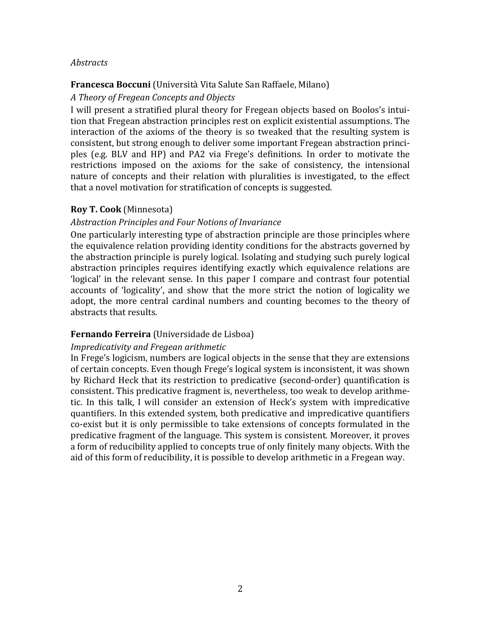# *Abstracts*

## **Francesca Boccuni** (Università Vita Salute San Raffaele, Milano)

## *A Theory of Fregean Concepts and Objects*

I will present a stratified plural theory for Fregean objects based on Boolos's intuition that Fregean abstraction principles rest on explicit existential assumptions. The interaction of the axioms of the theory is so tweaked that the resulting system is consistent, but strong enough to deliver some important Fregean abstraction principles (e.g. BLV and HP) and PA2 via Frege's definitions. In order to motivate the restrictions imposed on the axioms for the sake of consistency, the intensional nature of concepts and their relation with pluralities is investigated, to the effect that a novel motivation for stratification of concepts is suggested.

# **Roy T. Cook** (Minnesota)

# *Abstraction Principles and Four Notions of Invariance*

One particularly interesting type of abstraction principle are those principles where the equivalence relation providing identity conditions for the abstracts governed by the abstraction principle is purely logical. Isolating and studying such purely logical abstraction principles requires identifying exactly which equivalence relations are 'logical' in the relevant sense. In this paper I compare and contrast four potential accounts of 'logicality', and show that the more strict the notion of logicality we adopt, the more central cardinal numbers and counting becomes to the theory of abstracts that results.

#### **Fernando Ferreira** (Universidade de Lisboa)

#### *Impredicativity and Fregean arithmetic*

In Frege's logicism, numbers are logical objects in the sense that they are extensions of certain concepts. Even though Frege's logical system is inconsistent, it was shown by Richard Heck that its restriction to predicative (second-order) quantification is consistent. This predicative fragment is, nevertheless, too weak to develop arithmetic. In this talk, I will consider an extension of Heck's system with impredicative quantifiers. In this extended system, both predicative and impredicative quantifiers co-exist but it is only permissible to take extensions of concepts formulated in the predicative fragment of the language. This system is consistent. Moreover, it proves a form of reducibility applied to concepts true of only finitely many objects. With the aid of this form of reducibility, it is possible to develop arithmetic in a Fregean way.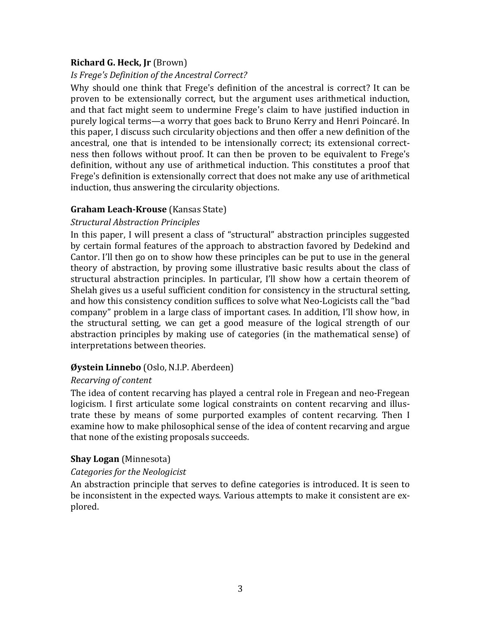# **Richard G. Heck, Jr** (Brown)

# *Is Frege's Definition of the Ancestral Correct?*

Why should one think that Frege's definition of the ancestral is correct? It can be proven to be extensionally correct, but the argument uses arithmetical induction, and that fact might seem to undermine Frege's claim to have justified induction in purely logical terms—a worry that goes back to Bruno Kerry and Henri Poincaré. In this paper, I discuss such circularity objections and then offer a new definition of the ancestral, one that is intended to be intensionally correct; its extensional correctness then follows without proof. It can then be proven to be equivalent to Frege's definition, without any use of arithmetical induction. This constitutes a proof that Frege's definition is extensionally correct that does not make any use of arithmetical induction, thus answering the circularity objections.

# **Graham Leach-Krouse** (Kansas State)

# *Structural Abstraction Principles*

In this paper, I will present a class of "structural" abstraction principles suggested by certain formal features of the approach to abstraction favored by Dedekind and Cantor. I'll then go on to show how these principles can be put to use in the general theory of abstraction, by proving some illustrative basic results about the class of structural abstraction principles. In particular, I'll show how a certain theorem of Shelah gives us a useful sufficient condition for consistency in the structural setting. and how this consistency condition suffices to solve what Neo-Logicists call the "bad company" problem in a large class of important cases. In addition, I'll show how, in the structural setting, we can get a good measure of the logical strength of our abstraction principles by making use of categories (in the mathematical sense) of interpretations between theories.

# **Øystein Linnebo** (Oslo, N.I.P. Aberdeen)

# *Recarving of content*

The idea of content recarving has played a central role in Fregean and neo-Fregean logicism. I first articulate some logical constraints on content recarving and illustrate these by means of some purported examples of content recarving. Then I examine how to make philosophical sense of the idea of content recarving and argue that none of the existing proposals succeeds.

# **Shay Logan** (Minnesota)

# *Categories for the Neologicist*

An abstraction principle that serves to define categories is introduced. It is seen to be inconsistent in the expected ways. Various attempts to make it consistent are explored.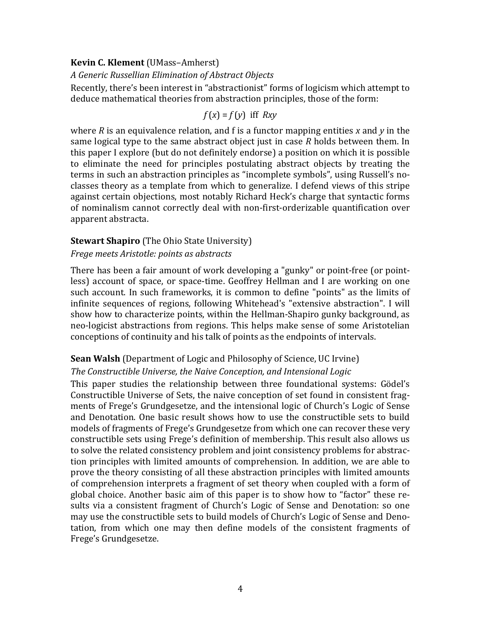### **Kevin C. Klement** (UMass-Amherst)

# *A Generic Russellian Elimination of Abstract Objects*

Recently, there's been interest in "abstractionist" forms of logicism which attempt to deduce mathematical theories from abstraction principles, those of the form:

$$
f(x) = f(y) \text{ iff } Rxy
$$

where  $R$  is an equivalence relation, and  $f$  is a functor mapping entities  $x$  and  $y$  in the same logical type to the same abstract object just in case *R* holds between them. In this paper I explore (but do not definitely endorse) a position on which it is possible to eliminate the need for principles postulating abstract objects by treating the terms in such an abstraction principles as "incomplete symbols", using Russell's noclasses theory as a template from which to generalize. I defend views of this stripe against certain objections, most notably Richard Heck's charge that syntactic forms of nominalism cannot correctly deal with non-first-orderizable quantification over apparent abstracta.

### **Stewart Shapiro** (The Ohio State University)

### *Frege meets Aristotle: points as abstracts*

There has been a fair amount of work developing a "gunky" or point-free (or pointless) account of space, or space-time. Geoffrey Hellman and I are working on one such account. In such frameworks, it is common to define "points" as the limits of infinite sequences of regions, following Whitehead's "extensive abstraction". I will show how to characterize points, within the Hellman-Shapiro gunky background, as neo-logicist abstractions from regions. This helps make sense of some Aristotelian conceptions of continuity and his talk of points as the endpoints of intervals.

# **Sean Walsh** (Department of Logic and Philosophy of Science, UC Irvine)

# The Constructible Universe, the Naive Conception, and Intensional Logic

This paper studies the relationship between three foundational systems: Gödel's Constructible Universe of Sets, the naive conception of set found in consistent fragments of Frege's Grundgesetze, and the intensional logic of Church's Logic of Sense and Denotation. One basic result shows how to use the constructible sets to build models of fragments of Frege's Grundgesetze from which one can recover these very constructible sets using Frege's definition of membership. This result also allows us to solve the related consistency problem and joint consistency problems for abstraction principles with limited amounts of comprehension. In addition, we are able to prove the theory consisting of all these abstraction principles with limited amounts of comprehension interprets a fragment of set theory when coupled with a form of global choice. Another basic aim of this paper is to show how to "factor" these results via a consistent fragment of Church's Logic of Sense and Denotation: so one may use the constructible sets to build models of Church's Logic of Sense and Denotation, from which one may then define models of the consistent fragments of Frege's Grundgesetze.